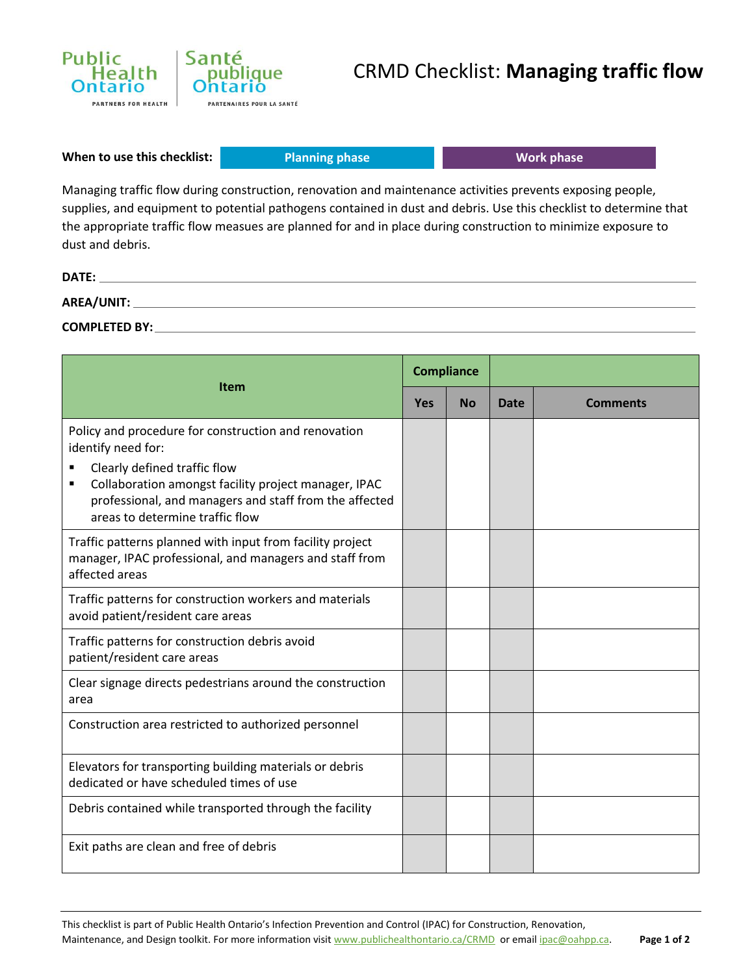

## CRMD Checklist: **Managing traffic flow**

**When to use this checklist:** 

**Planning phase Work phase** 

Managing traffic flow during construction, renovation and maintenance activities prevents exposing people, supplies, and equipment to potential pathogens contained in dust and debris. Use this checklist to determine that the appropriate traffic flow measues are planned for and in place during construction to minimize exposure to dust and debris.

| DATE:                |  |  |
|----------------------|--|--|
| AREA/UNIT:           |  |  |
| <b>COMPLETED BY:</b> |  |  |

| <b>Item</b>                                                                                                                                                                                                                                                          |  | <b>Compliance</b> |             |                 |
|----------------------------------------------------------------------------------------------------------------------------------------------------------------------------------------------------------------------------------------------------------------------|--|-------------------|-------------|-----------------|
|                                                                                                                                                                                                                                                                      |  | <b>No</b>         | <b>Date</b> | <b>Comments</b> |
| Policy and procedure for construction and renovation<br>identify need for:<br>Clearly defined traffic flow<br>Collaboration amongst facility project manager, IPAC<br>٠<br>professional, and managers and staff from the affected<br>areas to determine traffic flow |  |                   |             |                 |
| Traffic patterns planned with input from facility project<br>manager, IPAC professional, and managers and staff from<br>affected areas                                                                                                                               |  |                   |             |                 |
| Traffic patterns for construction workers and materials<br>avoid patient/resident care areas                                                                                                                                                                         |  |                   |             |                 |
| Traffic patterns for construction debris avoid<br>patient/resident care areas                                                                                                                                                                                        |  |                   |             |                 |
| Clear signage directs pedestrians around the construction<br>area                                                                                                                                                                                                    |  |                   |             |                 |
| Construction area restricted to authorized personnel                                                                                                                                                                                                                 |  |                   |             |                 |
| Elevators for transporting building materials or debris<br>dedicated or have scheduled times of use                                                                                                                                                                  |  |                   |             |                 |
| Debris contained while transported through the facility                                                                                                                                                                                                              |  |                   |             |                 |
| Exit paths are clean and free of debris                                                                                                                                                                                                                              |  |                   |             |                 |